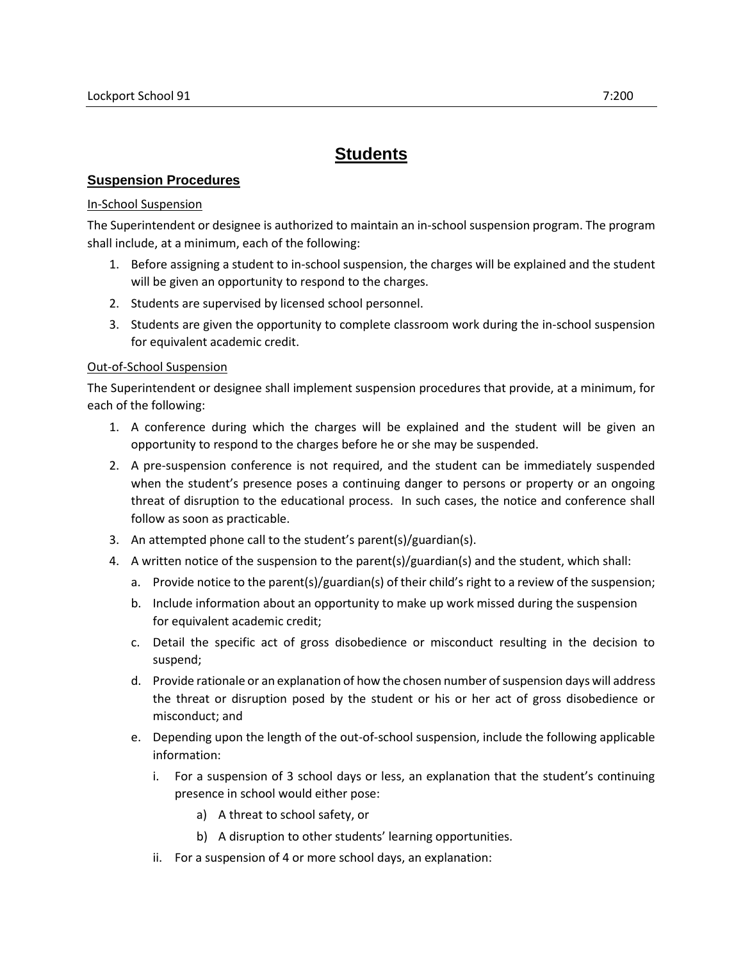## **Students**

## **Suspension Procedures**

## In-School Suspension

The Superintendent or designee is authorized to maintain an in-school suspension program. The program shall include, at a minimum, each of the following:

- 1. Before assigning a student to in-school suspension, the charges will be explained and the student will be given an opportunity to respond to the charges.
- 2. Students are supervised by licensed school personnel.
- 3. Students are given the opportunity to complete classroom work during the in-school suspension for equivalent academic credit.

## Out-of-School Suspension

The Superintendent or designee shall implement suspension procedures that provide, at a minimum, for each of the following:

- 1. A conference during which the charges will be explained and the student will be given an opportunity to respond to the charges before he or she may be suspended.
- 2. A pre-suspension conference is not required, and the student can be immediately suspended when the student's presence poses a continuing danger to persons or property or an ongoing threat of disruption to the educational process. In such cases, the notice and conference shall follow as soon as practicable.
- 3. An attempted phone call to the student's parent(s)/guardian(s).
- 4. A written notice of the suspension to the parent(s)/guardian(s) and the student, which shall:
	- a. Provide notice to the parent(s)/guardian(s) of their child's right to a review of the suspension;
	- b. Include information about an opportunity to make up work missed during the suspension for equivalent academic credit;
	- c. Detail the specific act of gross disobedience or misconduct resulting in the decision to suspend;
	- d. Provide rationale or an explanation of how the chosen number of suspension days will address the threat or disruption posed by the student or his or her act of gross disobedience or misconduct; and
	- e. Depending upon the length of the out-of-school suspension, include the following applicable information:
		- i. For a suspension of 3 school days or less, an explanation that the student's continuing presence in school would either pose:
			- a) A threat to school safety, or
			- b) A disruption to other students' learning opportunities.
		- ii. For a suspension of 4 or more school days, an explanation: